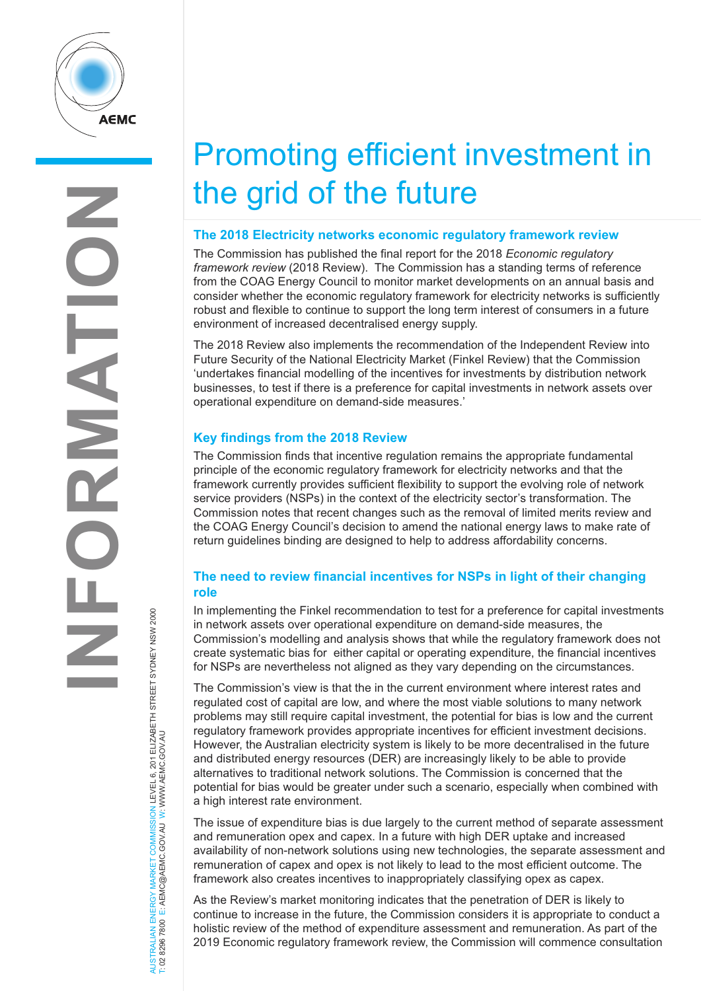

# Promoting efficient investment in the grid of the future

#### **The 2018 Electricity networks economic regulatory framework review**

The Commission has published the final report for the 2018 *Economic regulatory framework review* (2018 Review). The Commission has a standing terms of reference from the COAG Energy Council to monitor market developments on an annual basis and consider whether the economic regulatory framework for electricity networks is sufficiently robust and flexible to continue to support the long term interest of consumers in a future environment of increased decentralised energy supply.

The 2018 Review also implements the recommendation of the Independent Review into Future Security of the National Electricity Market (Finkel Review) that the Commission 'undertakes financial modelling of the incentives for investments by distribution network businesses, to test if there is a preference for capital investments in network assets over operational expenditure on demand-side measures.'

## **Key findings from the 2018 Review**

The Commission finds that incentive regulation remains the appropriate fundamental principle of the economic regulatory framework for electricity networks and that the framework currently provides sufficient flexibility to support the evolving role of network service providers (NSPs) in the context of the electricity sector's transformation. The Commission notes that recent changes such as the removal of limited merits review and the COAG Energy Council's decision to amend the national energy laws to make rate of return guidelines binding are designed to help to address affordability concerns.

## **The need to review financial incentives for NSPs in light of their changing role**

In implementing the Finkel recommendation to test for a preference for capital investments in network assets over operational expenditure on demand-side measures, the Commission's modelling and analysis shows that while the regulatory framework does not create systematic bias for either capital or operating expenditure, the financial incentives for NSPs are nevertheless not aligned as they vary depending on the circumstances.

The Commission's view is that the in the current environment where interest rates and regulated cost of capital are low, and where the most viable solutions to many network problems may still require capital investment, the potential for bias is low and the current regulatory framework provides appropriate incentives for efficient investment decisions. However, the Australian electricity system is likely to be more decentralised in the future and distributed energy resources (DER) are increasingly likely to be able to provide alternatives to traditional network solutions. The Commission is concerned that the potential for bias would be greater under such a scenario, especially when combined with a high interest rate environment.

The issue of expenditure bias is due largely to the current method of separate assessment and remuneration opex and capex. In a future with high DER uptake and increased availability of non-network solutions using new technologies, the separate assessment and remuneration of capex and opex is not likely to lead to the most efficient outcome. The framework also creates incentives to inappropriately classifying opex as capex.

As the Review's market monitoring indicates that the penetration of DER is likely to continue to increase in the future, the Commission considers it is appropriate to conduct a holistic review of the method of expenditure assessment and remuneration. As part of the 2019 Economic regulatory framework review, the Commission will commence consultation

AUSTRALIAN ENERGY MARKET COMMISSION LEVEL 6, 201 ELIZABETH STREET SYDNEY NSW 2000 W.AEMC.GOV.AU W T: 02 8296 7800 E: AEMC@AEMC.GOV.AU W: W AUSTRALIAN ENERGY MARKET T: 02 8296 7800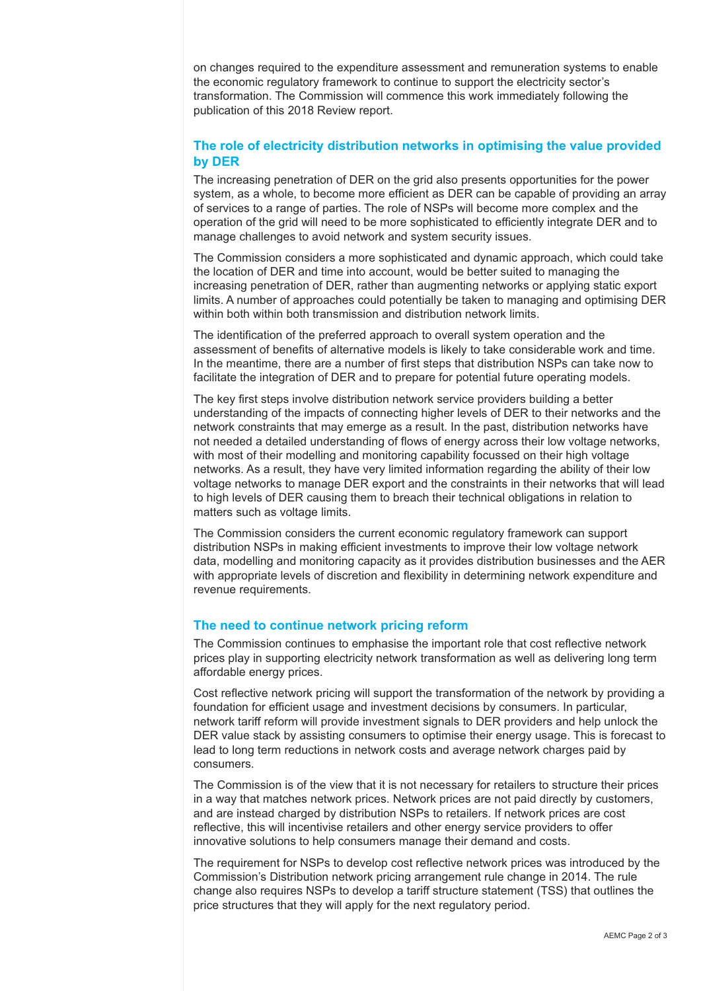on changes required to the expenditure assessment and remuneration systems to enable the economic regulatory framework to continue to support the electricity sector's transformation. The Commission will commence this work immediately following the publication of this 2018 Review report.

#### **The role of electricity distribution networks in optimising the value provided by DER**

The increasing penetration of DER on the grid also presents opportunities for the power system, as a whole, to become more efficient as DER can be capable of providing an array of services to a range of parties. The role of NSPs will become more complex and the operation of the grid will need to be more sophisticated to efficiently integrate DER and to manage challenges to avoid network and system security issues.

The Commission considers a more sophisticated and dynamic approach, which could take the location of DER and time into account, would be better suited to managing the increasing penetration of DER, rather than augmenting networks or applying static export limits. A number of approaches could potentially be taken to managing and optimising DER within both within both transmission and distribution network limits.

The identification of the preferred approach to overall system operation and the assessment of benefits of alternative models is likely to take considerable work and time. In the meantime, there are a number of first steps that distribution NSPs can take now to facilitate the integration of DER and to prepare for potential future operating models.

The key first steps involve distribution network service providers building a better understanding of the impacts of connecting higher levels of DER to their networks and the network constraints that may emerge as a result. In the past, distribution networks have not needed a detailed understanding of flows of energy across their low voltage networks, with most of their modelling and monitoring capability focussed on their high voltage networks. As a result, they have very limited information regarding the ability of their low voltage networks to manage DER export and the constraints in their networks that will lead to high levels of DER causing them to breach their technical obligations in relation to matters such as voltage limits.

The Commission considers the current economic regulatory framework can support distribution NSPs in making efficient investments to improve their low voltage network data, modelling and monitoring capacity as it provides distribution businesses and the AER with appropriate levels of discretion and flexibility in determining network expenditure and revenue requirements.

#### **The need to continue network pricing reform**

The Commission continues to emphasise the important role that cost reflective network prices play in supporting electricity network transformation as well as delivering long term affordable energy prices.

Cost reflective network pricing will support the transformation of the network by providing a foundation for efficient usage and investment decisions by consumers. In particular, network tariff reform will provide investment signals to DER providers and help unlock the DER value stack by assisting consumers to optimise their energy usage. This is forecast to lead to long term reductions in network costs and average network charges paid by consumers.

The Commission is of the view that it is not necessary for retailers to structure their prices in a way that matches network prices. Network prices are not paid directly by customers, and are instead charged by distribution NSPs to retailers. If network prices are cost reflective, this will incentivise retailers and other energy service providers to offer innovative solutions to help consumers manage their demand and costs.

The requirement for NSPs to develop cost reflective network prices was introduced by the Commission's Distribution network pricing arrangement rule change in 2014. The rule change also requires NSPs to develop a tariff structure statement (TSS) that outlines the price structures that they will apply for the next regulatory period.